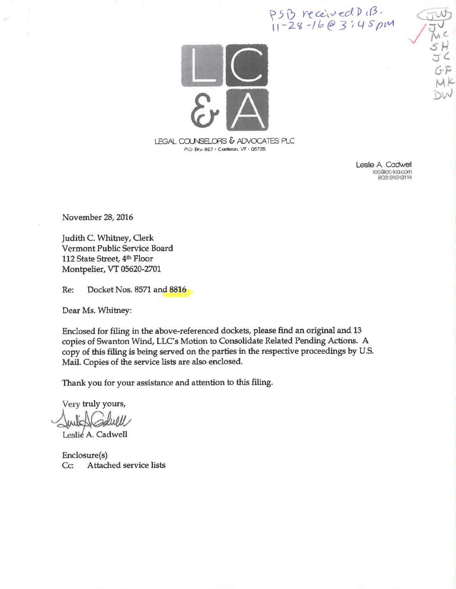PSB received D (B.<br>11-28-16@3:45 pm



Leslie A. Cadwell lac@lac-lca.com P02-342-3114

 $\left(\frac{1}{2}\right)^{m}$ 

November 28, 2016

Judith C. Whitney, Clerk Vermont Public Service Board 112 State Street, 4th Floor Montpelier, VT 05620-2701

Docket Nos. 8571 and 8816 Re:

Dear Ms. Whitney:

Enclosed for filing in the above-referenced dockets, please find an original and 13 copies of Swanton Wind, LLC's Motion to Consolidate Related Pending Actions. A copy of this filing is being served on the parties in the respective proceedings by U.S. Mail. Copies of the service lists are also enclosed.

Thank you for your assistance and attention to this filing.

Very truly yours,

Leslie A. Cadwell

Enclosure(s) Attached service lists  $Cc$ :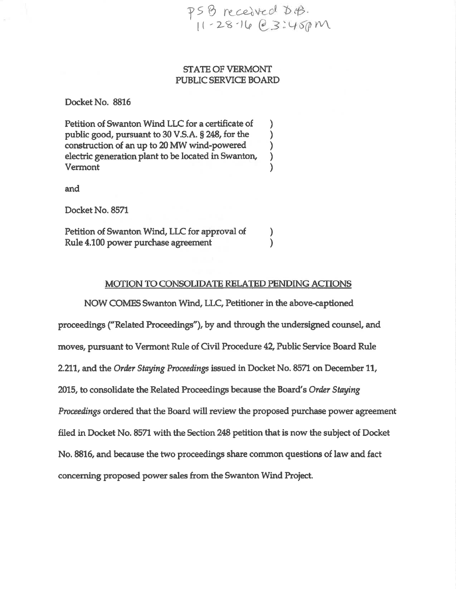PSB received D.B.  $11 - 28 - 160$  3:45pm

# STATE OF VERMONT PUBLIC SERVICE BOARD

Docket No. 8816

Petition of Swanton Wind LLC for a certificate of )<br>public good, pursuant to 30 V.S.A. § 248, for the ) public good, pursuant to 30 V.S.A. § 248, for the )<br>construction of an up to 20 MW wind-powered ) construction of an up to 20 MW wind-powered <br>electric generation plant to be located in Swanton, electric generation plant to be located in Swanton, ) Vermont )

and

Docket No. 8571

Petition of Swanton Wind, LLC for approval of Rule 4.100 power purchase agreement

### MOTION TO CONSOLIDATE RELATED PENDING ACTIONS

) )

NOW COMES Swanton Wind, LLÇ Petitioner in the above-captioned proceedings ("Related Proceedings"), by and through the undersigned counsel, and moves, pursuant to Vermont Rule of Civil Procedure 42, Public Service Board Rule 2.211, and the Order Staying Proceedings issued in Docket No. 8571 on December 11, 2015, to consolidate the Related Proceedings because the Board's Order Staying Proceedings ordered that the Board will review the proposed purchase power agreement filed in Docket No. 8571 with the Section 248 petition that is now the subiect of Docket No. 8816, and because the two proceedings share common questions of law and fact concerning proposed power sales from the Swanton Wind Project.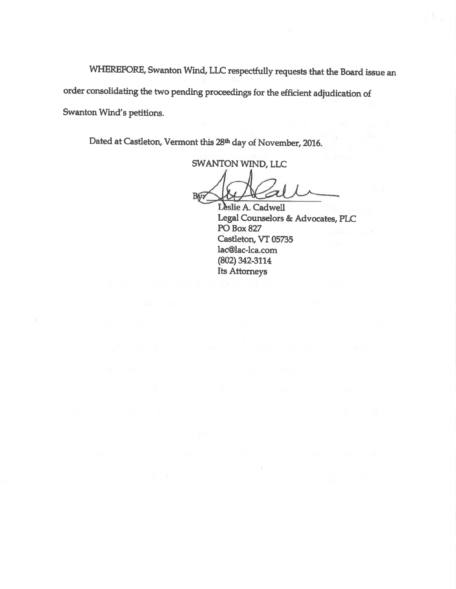WHEREFORE, Swanton Wind, LLC respectfully requests that the Board issue an order consolidating the two pending proceedings for the efficient adjudication of Swanton Wind's petitions.

Dated at Castleton, Vermont this 28th day of November, 2016.

**SWANTON WIND, LLC** 

**By?** 

Leslie A. Cadwell Legal Counselors & Advocates, PLC **PO Box 827** Castleton, VT 05735 lac@lac-lca.com  $(802)$  342-3114 Its Attorneys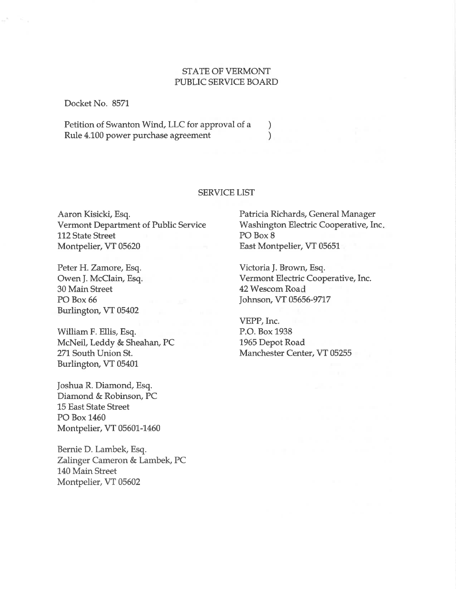## STATE OF VERMONT PUBLIC SERVICE BOARD

Docket No. 8571

Petition of Swanton Wind, LLC for approval of a  $\left\{\n\begin{array}{l}\n\text{Rule 4.100 power purchase agreement}\n\end{array}\n\right.\n\left.\n\right\}$ Rule 4.100 power purchase agreement

### SERVICE LIST

Aaron Kisicki, Esq. Vermont Department of Public Service 112 State Street Montpelier, VT 05620

Peter H. Zamore, Esq. Owen J. McClain, Esq. 30 Main Street PO Box 66 Burlington, VT 05402

William F. Ellis, Esq. McNeil, Leddy & Sheahan, PC 271 South Union St. Burlington, VT 05401

Joshua R. Diamond, Esq. Diamond & Robinson, PC L5 East State Street PO Box 1460 Montpelier, VT 05601-1460

Bernie D. Lambek, Esq. Zalinger Cameron & Lambek, PC 140 Main Street Montpelier, VT 05602

Patricia Richards, General Manager Washington Electric Cooperative, Inc PO Box 8 East Montpelier, VT 05651

Victoria J. Brown, Esq. Vermont Electric Cooperative, Inc. 42 Wescom Road Johnson, VT 05656-9717

VEPP, Inc. P.O. Box 1938 1965 Depot Road Manchester Center, VT 05255